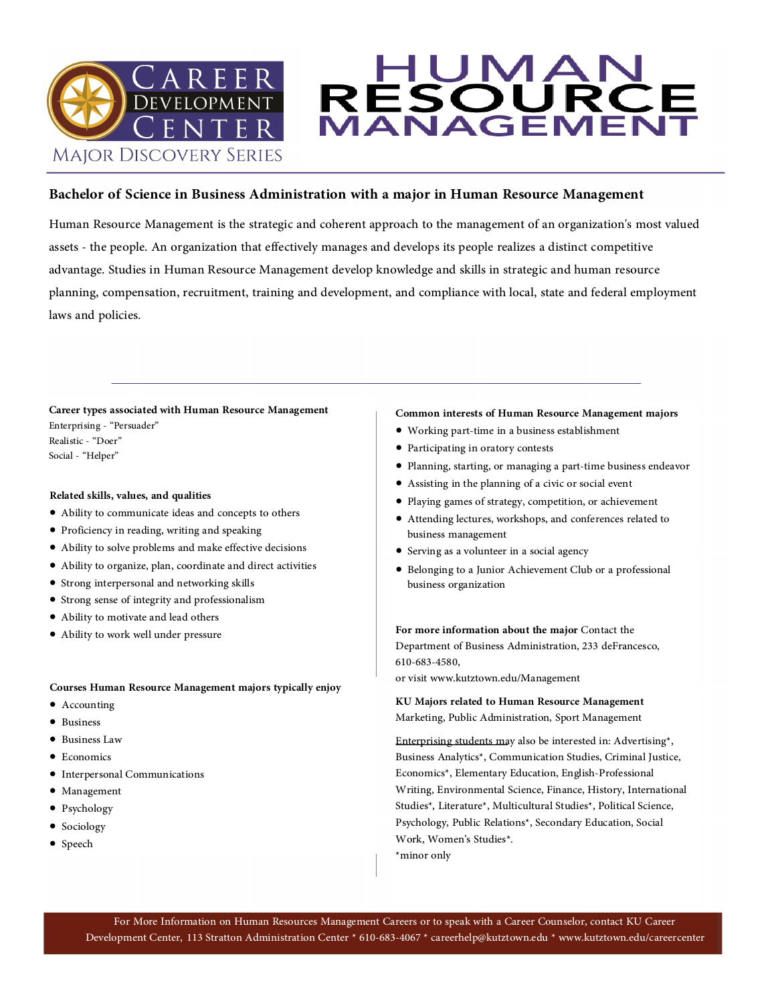

#### **Bachelor of Science in Business Administration with a major in Human Resource Management**

MAN

Bachelor of Science in Business Administration with a major in Human Resource Management<br>Human Resource Management is the strategic and coherent approach to the management of an organization's most valued<br>assets - the peop

RESC

### **Career types associated with Human Resource Management**

Enterprising - "Persuader" Realistic - "Doer" Social - "Helper"

#### **Related skills, values, and qualities**

- Ability to communicate ideas and concepts to others
- Proficiency in reading, writing and speaking
- Ability to solve problems and make effective decisions
- Ability to organize, plan, coordinate and direct activities
- Strong interpersonal and networking skills
- Strong sense of integrity and professionalism
- Ability to motivate and lead others
- Ability to work well under pressure

#### **Courses Human Resource Management majors typically enjoy**

- Accounting
- Business
- Business Law
- Economics
- Interpersonal Communications
- Management
- Psychology
- Sociology
- Speech

#### **Common interests of Human Resource Management majors**

• Working part-time in a business establishment

UMAI

- Participating in oratory contests
- Planning, starting, or managing a part-time business endeavor
- Assisting in the planning of a civic or social event
- Playing games of strategy, competition, or achievement
- Attending lectures, workshops, and conferences related to business management
- Serving as a volunteer in a social agency
- Belonging to a Junior Achievement Club or a professional business organization

**For more information about the major** Contact the Department of Business Administration, 233 deFrancesco, 610-683-4580,

or visit www.kutztown.edu/Management

**KU Majors related to Human Resource Management** 

Enterprising students may also be interested in: Advertising\*, Business Analytics\*, Communication Studies, Criminal Justice,<br>Economics\*, Elementary Education, English-Professional<br>Writing, Environmental Science, Finance, History, International<br>Studies\*, Literature\*, Multicultural Stud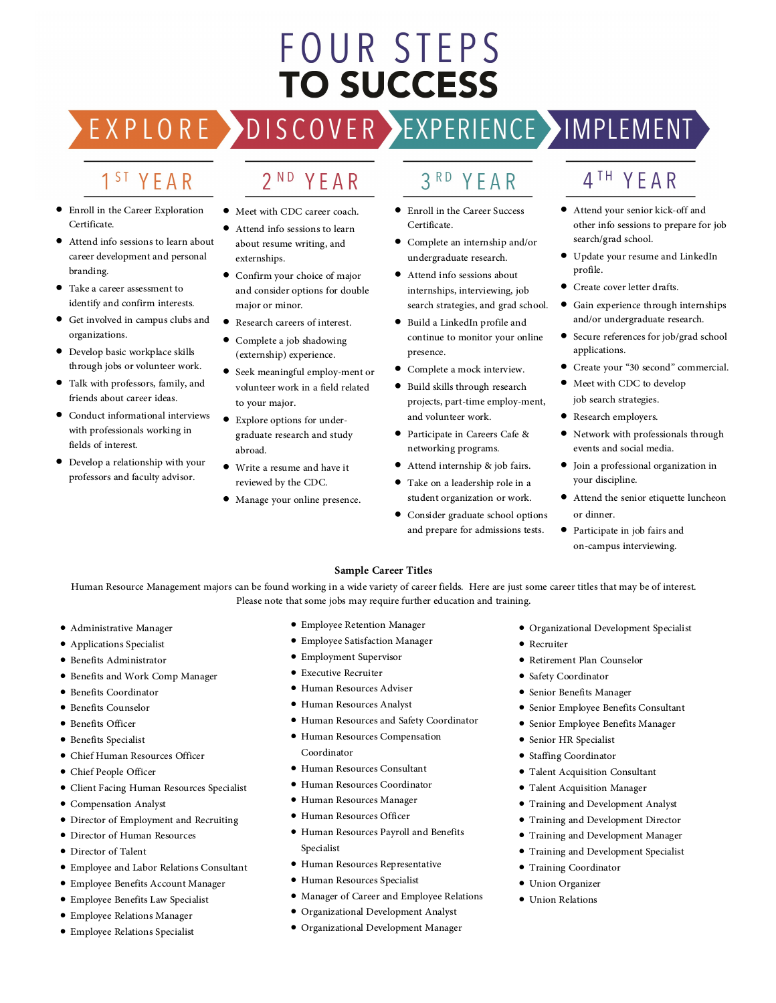# **FOUR STEPS TO SUCCESS**

### 1<sup>ST</sup> YEAR

EXPLORE >

- Enroll in the Career Exploration Certificate.
- Attend info sessions to learn about career development and personal branding.
- Take a career assessment to identify and confirm interests.
- Get involved in campus clubs and organizations.
- Develop basic workplace skills through jobs or volunteer work.
- Talk with professors, family, and friends about career ideas.
- Conduct informational interviews with professionals working in fields of interest.
- Develop a relationship with your professors and faculty advisor.

Meet with CDC career coach.

2<sup>ND</sup> YEAR

- Attend info sessions to learn
- about resume writing, and externships.
- Confirm your choice of major and consider options for double major or minor.
- Research careers of interest.
- Complete a job shadowing (externship) experience.
- Seek meaningful employ-ment or volunteer work in a field related to your major.
- Explore options for under graduate research and study abroad.
- Write a resume and have it reviewed by the CDC.
- Manage your online presence.

#### $3<sup>RD</sup>$ YEAR

DISCOVER EXPERIENCE MAPLEMENT

- Enroll in the Career Success Certificate.
- Complete an internship and/or undergraduate research.
- Attend info sessions about internships, interviewing, job search strategies, and grad school.
- Build a LinkedIn profile and continue to monitor your online
- presence. Complete a mock interview.
- Build skills through research projects, part-time employ-ment, and volunteer work.
- Participate in Careers Cafe & networking programs.
- Attend internship & job fairs.
- Take on a leadership role in a student organization or work.
- Consider graduate school options and prepare for admissions tests.
- 4<sup>TH</sup> YEAR
- Attend your senior kick-off and other info sessions to prepare for job search/grad school.
- Update your resume and LinkedIn profile.
- Create cover letter drafts.
- Gain experience through internships and/or undergraduate research.
- Secure references for job/grad school applications.
- Create your "30 second" commercial.
- Meet with CDC to develop job search strategies.
- Research employers.
- Network with professionals through events and social media.
- Join a professional organization in your discipline.
- Attend the senior etiquette luncheon or dinner.
- Participate in job fairs and on-campus interviewing.

#### **Sample Career Titles**

Human Resource Management majors can be found working in a wide variety of career fields. Here are just some career titles that may be of interest. Please note that some jobs may require further education and training.

- Administrative Manager
- Applications Specialist
- Benefits Administrator
- Benefits and Work Comp Manager
- Benefits Coordinator
- Benefits Counselor
- Benefits Officer
- Benefits Specialist
- Chief Human Resources Officer
- Chief People Officer
- Client Facing Human Resources Specialist
- Compensation Analyst
- Director of Employment and Recruiting
- Director of Human Resources
- Director of Talent
- Employee and Labor Relations Consultant
- Employee Benefits Account Manager
- Employee Benefits Law Specialist
- Employee Relations Manager
- Employee Relations Specialist
- Employee Retention Manager
- Employee Satisfaction Manager
- Employment Supervisor
- Executive Recruiter
- Human Resources Adviser
- Human Resources Analyst
- Human Resources and Safety Coordinator
- Human Resources Compensation Coordinator
- Human Resources Consultant
- Human Resources Coordinator
- Human Resources Manager
- Human Resources Officer
- Human Resources Payroll and Benefits
- Specialist
- Human Resources Representative
- Human Resources Specialist
- Manager of Career and Employee Relations
- Organizational Development Analyst
- Organizational Development Manager
- Organizational Development Specialist
- Recruiter
- Retirement Plan Counselor
- Safety Coordinator
- Senior Benefits Manager
- Senior Employee Benefits Consultant
- Senior Employee Benefits Manager
- Senior HR Specialist
- Staffing Coordinator

• Training Coordinator • Union Organizer • Union Relations

- Talent Acquisition Consultant
- Talent Acquisition Manager
- Training and Development Analyst
- Training and Development Director
- Training and Development Manager
	- Training and Development Specialist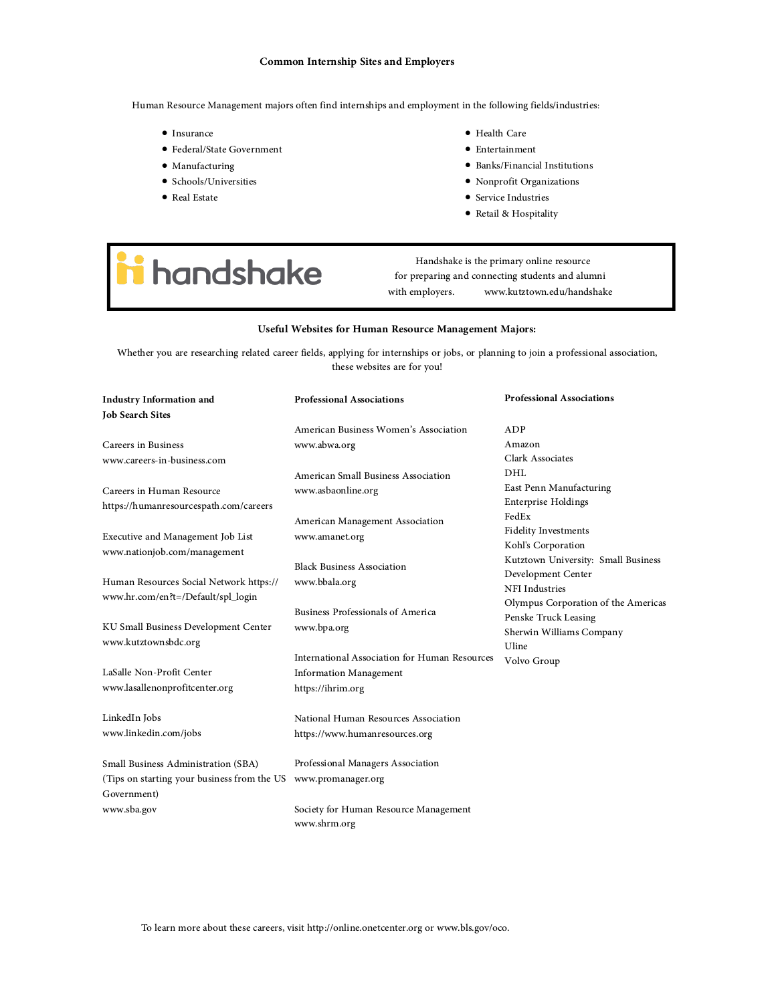#### **Common Internship Sites and Employers**

Human Resource Management majors often find internships and employment in the following fields/industries:

- Insurance
- Federal/State Government
- Manufacturing
- Schools/Universities
- Real Estate
- Health Care
- Entertainment
- Banks/Financial Institutions
- Nonprofit Organizations
- Service Industries
- Retail & Hospitality

# *i* handshake

Handshake is the primary online resource for preparing and connecting students and alumni with employers. www.kutztown.edu/handshake

#### **Useful Websites for Human Resource Management Majors:**

Whether you are researching related career fields, applying for internships or jobs, or planning to join a professional association, these websites are for you!

| <b>Industry Information and</b>             | <b>Professional Associations</b>              | <b>Professional Associations</b>    |
|---------------------------------------------|-----------------------------------------------|-------------------------------------|
| <b>Job Search Sites</b>                     |                                               |                                     |
|                                             | American Business Women's Association         | ADP                                 |
| <b>Careers in Business</b>                  | www.abwa.org                                  | Amazon                              |
| www.careers-in-business.com                 |                                               | Clark Associates                    |
|                                             | American Small Business Association           | DHL                                 |
| Careers in Human Resource                   | www.asbaonline.org                            | East Penn Manufacturing             |
| https://humanresourcespath.com/careers      |                                               | <b>Enterprise Holdings</b>          |
|                                             | American Management Association               | FedEx                               |
| Executive and Management Job List           | www.amanet.org                                | <b>Fidelity Investments</b>         |
| www.nationjob.com/management                |                                               | Kohl's Corporation                  |
|                                             | <b>Black Business Association</b>             | Kutztown University: Small Business |
| Human Resources Social Network https://     | www.bbala.org                                 | Development Center                  |
| www.hr.com/en?t=/Default/spl_login          |                                               | <b>NFI</b> Industries               |
|                                             | <b>Business Professionals of America</b>      | Olympus Corporation of the Americas |
| KU Small Business Development Center        | www.bpa.org                                   | Penske Truck Leasing                |
| www.kutztownsbdc.org                        |                                               | Sherwin Williams Company            |
|                                             | International Association for Human Resources | Uline                               |
| LaSalle Non-Profit Center                   | <b>Information Management</b>                 | Volvo Group                         |
| www.lasallenonprofitcenter.org              | https://ihrim.org                             |                                     |
|                                             |                                               |                                     |
| LinkedIn Jobs                               | National Human Resources Association          |                                     |
| www.linkedin.com/jobs                       | https://www.humanresources.org                |                                     |
|                                             |                                               |                                     |
| Small Business Administration (SBA)         | Professional Managers Association             |                                     |
| (Tips on starting your business from the US | www.promanager.org                            |                                     |
| Government)                                 |                                               |                                     |
| www.sba.gov                                 | Society for Human Resource Management         |                                     |
|                                             | www.shrm.org                                  |                                     |

To learn more about these careers, visit http://online.onetcenter.org or www.bls.gov/oco.